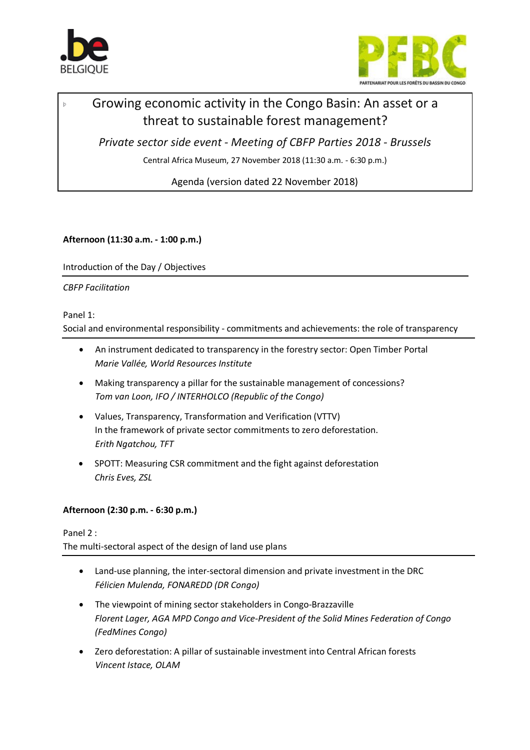

þ



# Growing economic activity in the Congo Basin: An asset or a threat to sustainable forest management?

*Private sector side event - Meeting of CBFP Parties 2018 - Brussels*

Central Africa Museum, 27 November 2018 (11:30 a.m. - 6:30 p.m.)

Agenda (version dated 22 November 2018)

**Afternoon (11:30 a.m. - 1:00 p.m.)**

Introduction of the Day / Objectives

## *CBFP Facilitation*

## Panel 1:

Social and environmental responsibility - commitments and achievements: the role of transparency

- An instrument dedicated to transparency in the forestry sector: Open Timber Portal *Marie Vallée, World Resources Institute*
- Making transparency a pillar for the sustainable management of concessions? *Tom van Loon, IFO / INTERHOLCO (Republic of the Congo)*
- Values, Transparency, Transformation and Verification (VTTV) In the framework of private sector commitments to zero deforestation. *Erith Ngatchou, TFT*
- SPOTT: Measuring CSR commitment and the fight against deforestation *Chris Eves, ZSL*

## **Afternoon (2:30 p.m. - 6:30 p.m.)**

Panel 2 : The multi-sectoral aspect of the design of land use plans

- Land-use planning, the inter-sectoral dimension and private investment in the DRC *Félicien Mulenda, FONAREDD (DR Congo)*
- The viewpoint of mining sector stakeholders in Congo-Brazzaville *Florent Lager, AGA MPD Congo and Vice-President of the Solid Mines Federation of Congo (FedMines Congo)*
- Zero deforestation: A pillar of sustainable investment into Central African forests *Vincent Istace, OLAM*